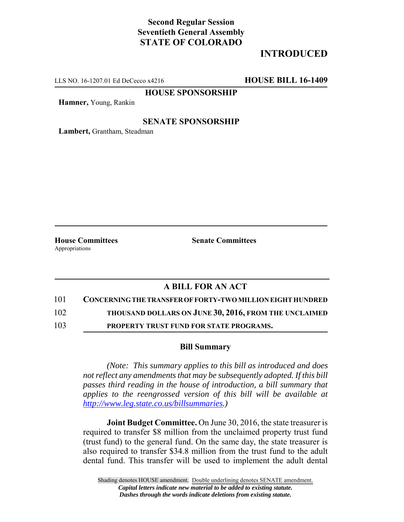# **Second Regular Session Seventieth General Assembly STATE OF COLORADO**

# **INTRODUCED**

LLS NO. 16-1207.01 Ed DeCecco x4216 **HOUSE BILL 16-1409**

**HOUSE SPONSORSHIP**

**Hamner,** Young, Rankin

#### **SENATE SPONSORSHIP**

**Lambert,** Grantham, Steadman

Appropriations

**House Committees Senate Committees** 

### **A BILL FOR AN ACT**

101 **CONCERNING THE TRANSFER OF FORTY-TWO MILLION EIGHT HUNDRED**

102 **THOUSAND DOLLARS ON JUNE 30, 2016, FROM THE UNCLAIMED**

103 **PROPERTY TRUST FUND FOR STATE PROGRAMS.**

### **Bill Summary**

*(Note: This summary applies to this bill as introduced and does not reflect any amendments that may be subsequently adopted. If this bill passes third reading in the house of introduction, a bill summary that applies to the reengrossed version of this bill will be available at http://www.leg.state.co.us/billsummaries.)*

**Joint Budget Committee.** On June 30, 2016, the state treasurer is required to transfer \$8 million from the unclaimed property trust fund (trust fund) to the general fund. On the same day, the state treasurer is also required to transfer \$34.8 million from the trust fund to the adult dental fund. This transfer will be used to implement the adult dental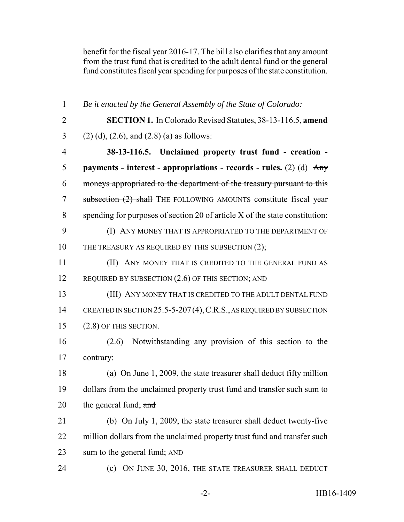benefit for the fiscal year 2016-17. The bill also clarifies that any amount from the trust fund that is credited to the adult dental fund or the general fund constitutes fiscal year spending for purposes of the state constitution.

 *Be it enacted by the General Assembly of the State of Colorado:* **SECTION 1.** In Colorado Revised Statutes, 38-13-116.5, **amend** 3 (2) (d), (2.6), and (2.8) (a) as follows: **38-13-116.5. Unclaimed property trust fund - creation - payments - interest - appropriations - records - rules.** (2) (d) Any moneys appropriated to the department of the treasury pursuant to this 7 subsection (2) shall THE FOLLOWING AMOUNTS constitute fiscal year spending for purposes of section 20 of article X of the state constitution: 9 (I) ANY MONEY THAT IS APPROPRIATED TO THE DEPARTMENT OF 10 THE TREASURY AS REQUIRED BY THIS SUBSECTION (2); (II) ANY MONEY THAT IS CREDITED TO THE GENERAL FUND AS 12 REQUIRED BY SUBSECTION  $(2.6)$  OF THIS SECTION; AND (III) ANY MONEY THAT IS CREDITED TO THE ADULT DENTAL FUND 14 CREATED IN SECTION 25.5-5-207(4), C.R.S., AS REQUIRED BY SUBSECTION (2.8) OF THIS SECTION. (2.6) Notwithstanding any provision of this section to the contrary: (a) On June 1, 2009, the state treasurer shall deduct fifty million dollars from the unclaimed property trust fund and transfer such sum to 20 the general fund;  $\frac{1}{2}$  and (b) On July 1, 2009, the state treasurer shall deduct twenty-five 22 million dollars from the unclaimed property trust fund and transfer such sum to the general fund; AND (c) ON JUNE 30, 2016, THE STATE TREASURER SHALL DEDUCT